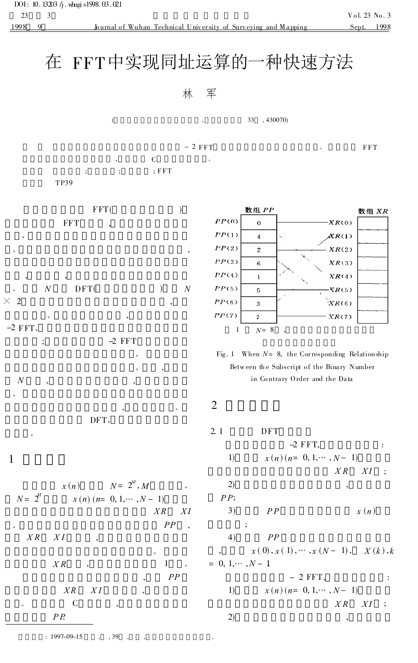## 在 FFT中实现同址运算的一种快速方法

## 林 军

 $-2$  FFT

 $\overline{(\ }$ 33 .430070)

**FFT** 

 $\overline{C}$  $;$  FFT  $\vdots$  $\cdot$ TP39

 $FFT($  $\lambda$ **FFT** 

DFT(  $\overline{N}$  $\mathcal{L}$  $\overline{N}$ 

 $\times$  2

 $-2$  FFT,  $-2$  FFT  $\ddot{.}$  $\boldsymbol{N}$ 

DFT,

 $\mathbf{1}$ 

$$
N = 2^{M} \t N = 2^{M}, M
$$
  

$$
N = 2^{M} \t N = 0, 1, \cdots, N - 1)
$$
  

$$
XR \t XI
$$
  

$$
PP \t N
$$

$$
XR \quad XI \qquad ,
$$



Fig. 1 When  $N=8$ , the Corresponding Relationship Between the Subscript of the Binary Number in Contrary Order and the Data

 $\overline{2}$ 

 $2<sub>1</sub>$ **DFT**  $-2$  FFT.  $\cdot$  $x(n)(n=0,1,\dots,N-1)$  $1)$  $X R$  $XI$  $\ddot{\phantom{1}}$  $(2)$  $PP:$  $3)$  $x(n)$  $PP$  $\vdots$  $4)$  $PP$  $x(0), x(1), \dots, x(N-1),$  $X(k), k$  $= 0, 1, \cdots, N - 1$  $-2$  FFT.  $\colon$  $x(n)(n=0,1,\dots,N-1)$  $1)$  $X R$  $XI$  $\ddot{ }$ 2)  $\cdot$ 

 $: 1997 - 09 - 15.$ , 39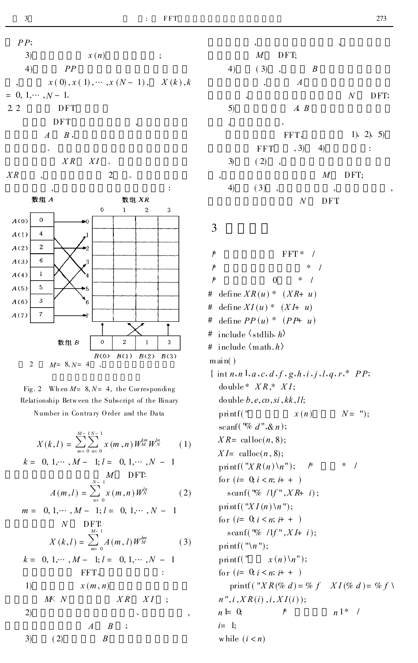

Fig. 2 Wh en  $M = 8, N = 4$ , the Corresponding Relationship Between the Subscript of the Binary Number in Contrary Order and the Data

$$
X(k,l) = \sum_{m=0}^{M-1} \sum_{n=0}^{N-1} x(m,n) W_M^{km} W_N^{ln}
$$
 (1)

$$
k = 0, 1, \dots, M - 1; l = 0, 1, \dots, N - 1
$$
  
\nM DFT:  
\n
$$
A(m, l) = \sum_{n=0}^{N-1} x(m, n) W_N^{l n}
$$
 (2)

$$
m = 0, 1, \dots, M - 1; l = 0, 1, \dots, N - 1
$$
  

$$
N \t DFT:
$$
X(k, l) = \sum_{i=1}^{M-1} A(m, l) W_M^{kn}
$$
 (3)
$$

$$
= 0, 1, \dots, M - 1; l = 0, 1, \dots, N - 1
$$

1)  
\n
$$
i(x, n)
$$
\n
$$
i(x, n)
$$
\n
$$
i(x, n)
$$
\n
$$
i(x, n)
$$
\n
$$
i(x, n)
$$
\n
$$
i(x, n)
$$
\n
$$
i(x, n)
$$
\n
$$
i(x, n)
$$
\n
$$
i(x, n)
$$
\n
$$
i(x, n)
$$
\n
$$
i(x, n)
$$
\n
$$
i(x, n)
$$
\n
$$
i(x, n)
$$
\n
$$
i(x, n)
$$
\n
$$
i(x, n)
$$
\n
$$
i(x, n)
$$
\n
$$
i(x, n)
$$
\n
$$
i(x, n)
$$
\n
$$
i(x, n)
$$
\n
$$
i(x, n)
$$
\n
$$
i(x, n)
$$
\n
$$
i(x, n)
$$
\n
$$
i(x, n)
$$
\n
$$
i(x, n)
$$
\n
$$
i(x, n)
$$
\n
$$
i(x, n)
$$
\n
$$
i(x, n)
$$
\n
$$
i(x, n)
$$
\n
$$
i(x, n)
$$
\n
$$
i(x, n)
$$
\n
$$
i(x, n)
$$
\n
$$
i(x, n)
$$
\n
$$
i(x, n)
$$
\n
$$
i(x, n)
$$
\n
$$
i(x, n)
$$
\n
$$
i(x, n)
$$
\n
$$
i(x, n)
$$
\n
$$
i(x, n)
$$
\n
$$
i(x, n)
$$
\n
$$
i(x, n)
$$
\n
$$
i(x, n)
$$
\n
$$
i(x, n)
$$
\n
$$
i(x, n)
$$
\n
$$
i(x, n)
$$
\n
$$
i(x, n)
$$
\n
$$
i(x, n)
$$
\n
$$
i(x, n)
$$
\n
$$
i(x, n)
$$
\n
$$
i(x, n)
$$
\n
$$
i(x, n)
$$
\n
$$
i(x, n)
$$
\n
$$
i(x, n)
$$
\n
$$
i(x, n)
$$
\n
$$
i(x, n)
$$
\n<math display="</p>

$$
A \qquad B
$$

$$
3) \qquad (2) \qquad B
$$

 $\boldsymbol{k}$ 

|    | ,                               |                  |                  | ,                |                |
|----|---------------------------------|------------------|------------------|------------------|----------------|
|    | $\boldsymbol{M}$                | DFT;             |                  |                  |                |
| 4) | (3)<br>$\overline{\phantom{a}}$ |                  | $\boldsymbol{B}$ |                  |                |
|    | $\overline{\phantom{a}}$        | $\boldsymbol{A}$ |                  |                  |                |
|    | ,                               |                  |                  | $\boldsymbol{N}$ | DFT;           |
| 5) |                                 | $A \ B$          |                  |                  |                |
| ,  | $\circ$                         |                  |                  |                  |                |
|    |                                 | FFT,             |                  |                  | 1). 2). 5)     |
|    | <b>FFT</b>                      | , 3)             | $\left(4\right)$ |                  | $\ddot{\cdot}$ |
| 3) | (2)<br>$\overline{\phantom{a}}$ |                  |                  |                  |                |
|    |                                 |                  | $\boldsymbol{M}$ | DFT;             |                |
| 4) | (3)<br>$\overline{\phantom{a}}$ |                  | ,                |                  |                |
|    |                                 | N                | DFT              |                  |                |

3

 $\gamma$ FFT\*  $\sqrt{ }$  $\overline{r}$  $\overline{1}$  $\overline{r}$  $\mathbf{0}$  $\ast$  $\prime$ # define  $XR(u) * (XR+u)$ # define  $XI(u)$  \*  $(XI+u)$ define  $PP(u) * (PP+ u)$  $\#$ include  $\langle$ stdlib. h # # include  $\langle \text{math}.h \rangle$  $m \, \text{ai} \, n()$ { int  $n, n 1, a, c, d, f, g, h, i, j, l, q, r$ ,\*  $PP$ ; double\*  $XR$ \*  $XI$ : do uble  $b, e, co, si, kk, ll;$  $N = "$ ); printf("  $x(n)$ scanf( $\sqrt[n]{a} d$ ",  $\& n$ );  $XR = \text{calloc}(n, 8)$ :  $XI = \text{calloc}(n, 8);$  $print(f''XR(n)\n\langle n''\rangle;$  $*$  / ∦ for  $(i=0, i < n; i++)$ scanf ("% /1f",  $XR + i$ ); printf( $"XI(n) \n\infty"$ ); for  $(i=0, i \leq n; i++)$ scanf("% /1f", $XI+ i$ ); printf("\n");  $print('')$  $x(n)$   $\langle n'' \rangle$ ; for  $(i=0, i \leq n; i++)$ printf ("XR(% d) = % f XI(% d) = % f \  $n", i, XR(i), i, XI(i));$  $n \models 0$  $n^{1*}$  /  $\mathcal{F}$  $i=1;$ while  $(i < n)$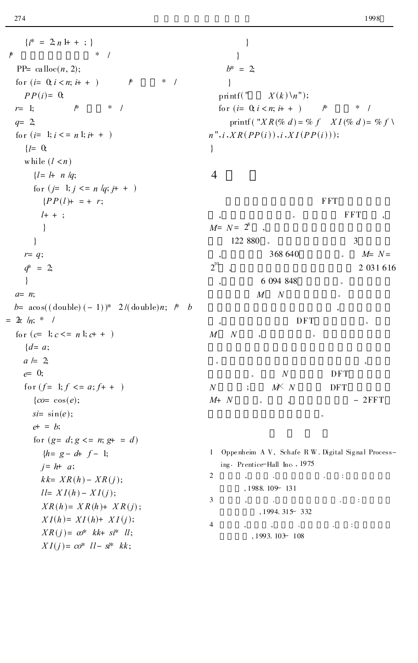$\ast$ 

 $\{i^* = 2; n + + ; \}$  $*$  /  $PP = \text{calloc}(n, 2);$ for  $(i=0, i < n; i++)$  $\mathcal{F}$  $\ast$  $\sqrt{ }$  $PP(i)=0$  $r=1$ :  $\mu$  $a=2$ : for  $(i=1; i \leq n 1; i+1)$  $\{l = 0, 1, 0, \ldots, l\}$ while  $(l < n)$  $l = l + n \nleq$ for  $(j=1; j \leq n / q; j+ + )$  ${PP(l)} = + r;$  $l+ +$  :  $\left\{ \right\}$  $\}$  $r = q;$  $q^* = 2;$  $\left\{ \right\}$  $a= n;$  $b= a \cos((d \text{ouble}) (-1))^* 2/(d \text{ouble}) n;$  \* b  $= 2\pi /n; * /$ for  $(c=1; c \leq n 1; c++)$  $\{d = a;$  $a \models 2$  $e = 0;$ for  $(f=1; f \leq a; f++)$  $\{co = \cos(e);$  $si = \sin(e)$ ;  $e^+$  =  $h$ ; for  $(g= d; g \leq n; g+ = d)$  $\{h = g - d + f - 1;$  $i=h+a;$  $kk = XR(h) - XR(j);$  $ll=XI(h)-XI(j);$  $XR(h) = XR(h) + XR(j);$  $XI(h) = XI(h) + XI(j);$ 

> $XR(j) = \omega^*$  kk+ si\* ll;  $XI(j) = \cos^*$   $ll - s^{*}$  kk;

 $\}$  $\mathcal{E}$  $b^* = 2$  $\left\{ \right\}$  $print(f)$  $X(k)$  \n''); for  $(i=0, i < n; i++)$  $\mathscr{F}$  $*$  / printf ("XR(% d) = % f XI(% d) = % f \  $n", i, XR(PP(i)), i, XI(PP(i)));$  $\mathcal{E}$ 

 $\overline{4}$ 

**FFT FFT**  $M = N = 2^8$ 122 880 3 368 640  $M = N =$  $2^{10}$ 2 031 616 6 094 848  $\overline{M}$  $\boldsymbol{N}$ **DFT**  $\overline{M}$  $\overline{N}$  $\cal N$ **DFT**  $M \times N$  $\overline{N}$  $\vdots$ **DFT**  $M+ N$  $-2FFT$ 

1 Oppenheim AV, Schafe RW. Digital Signal Processing. Prentice-Hall Inc., 1975

|   | $,1988.109$ <sup>-</sup> 131 |  |  |
|---|------------------------------|--|--|
| 3 |                              |  |  |
|   | $,1994.315$ <sup>2</sup>     |  |  |
|   |                              |  |  |
|   | $,1993.103 - 108$            |  |  |